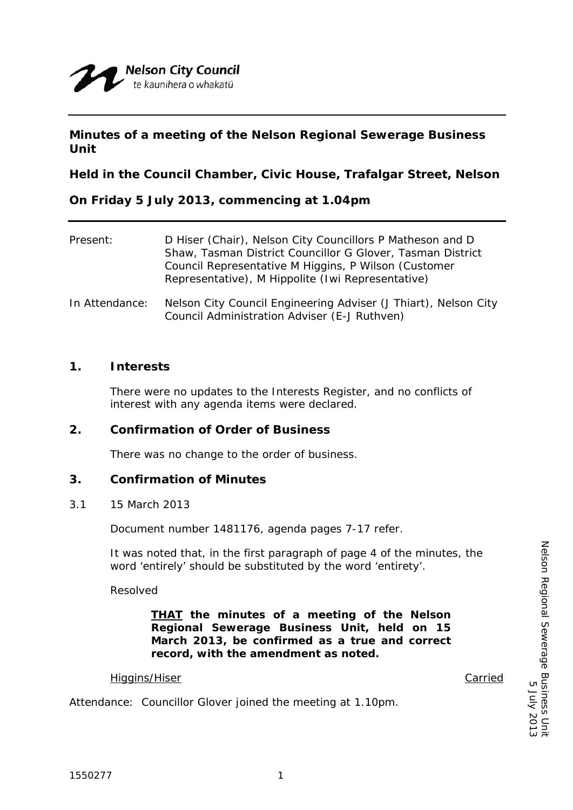# **Minutes of a meeting of the Nelson Regional Sewerage Business Unit**

**Held in the Council Chamber, Civic House, Trafalgar Street, Nelson** 

**On Friday 5 July 2013, commencing at 1.04pm** 

| Present:       | D Hiser (Chair), Nelson City Councillors P Matheson and D<br>Shaw, Tasman District Councillor G Glover, Tasman District<br>Council Representative M Higgins, P Wilson (Customer<br>Representative), M Hippolite (Iwi Representative) |
|----------------|--------------------------------------------------------------------------------------------------------------------------------------------------------------------------------------------------------------------------------------|
| In Attendance: | Nelson City Council Engineering Adviser (J Thiart), Nelson City<br>Council Administration Adviser (E-J Ruthven)                                                                                                                      |

## **1. Interests**

There were no updates to the Interests Register, and no conflicts of interest with any agenda items were declared.

# **2. Confirmation of Order of Business**

There was no change to the order of business.

# **3. Confirmation of Minutes**

### 3.1 15 March 2013

Document number 1481176, agenda pages 7-17 refer.

It was noted that, in the first paragraph of page 4 of the minutes, the word 'entirely' should be substituted by the word 'entirety'.

Resolved

*THAT the minutes of a meeting of the Nelson Regional Sewerage Business Unit, held on 15 March 2013, be confirmed as a true and correct record, with the amendment as noted.* 

### Higgins/Hiser Carried

Attendance: Councillor Glover joined the meeting at 1.10pm.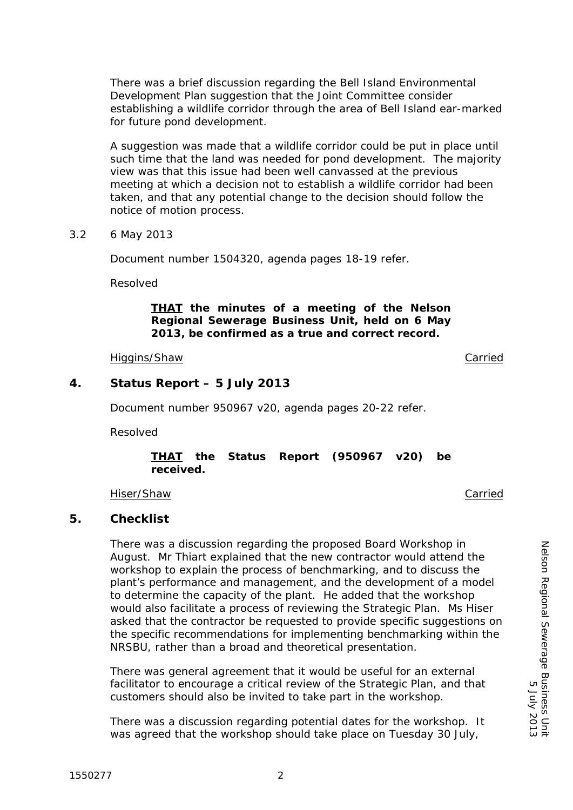5 July 2013

There was a brief discussion regarding the Bell Island Environmental Development Plan suggestion that the Joint Committee consider establishing a wildlife corridor through the area of Bell Island ear-marked for future pond development.

A suggestion was made that a wildlife corridor could be put in place until such time that the land was needed for pond development. The majority view was that this issue had been well canvassed at the previous meeting at which a decision not to establish a wildlife corridor had been taken, and that any potential change to the decision should follow the notice of motion process.

3.2 6 May 2013

Document number 1504320, agenda pages 18-19 refer.

Resolved

# *THAT the minutes of a meeting of the Nelson Regional Sewerage Business Unit, held on 6 May 2013, be confirmed as a true and correct record.*

Higgins/Shaw Carried

# **4. Status Report – 5 July 2013**

Document number 950967 v20, agenda pages 20-22 refer.

Resolved

## *THAT the Status Report (950967 v20) be received.*

Hiser/Shaw Carried

# **5. Checklist**

There was a discussion regarding the proposed Board Workshop in August. Mr Thiart explained that the new contractor would attend the workshop to explain the process of benchmarking, and to discuss the plant's performance and management, and the development of a model to determine the capacity of the plant. He added that the workshop would also facilitate a process of reviewing the Strategic Plan. Ms Hiser asked that the contractor be requested to provide specific suggestions on the specific recommendations for implementing benchmarking within the NRSBU, rather than a broad and theoretical presentation.

There was general agreement that it would be useful for an external facilitator to encourage a critical review of the Strategic Plan, and that customers should also be invited to take part in the workshop.

There was a discussion regarding potential dates for the workshop. It was agreed that the workshop should take place on Tuesday 30 July,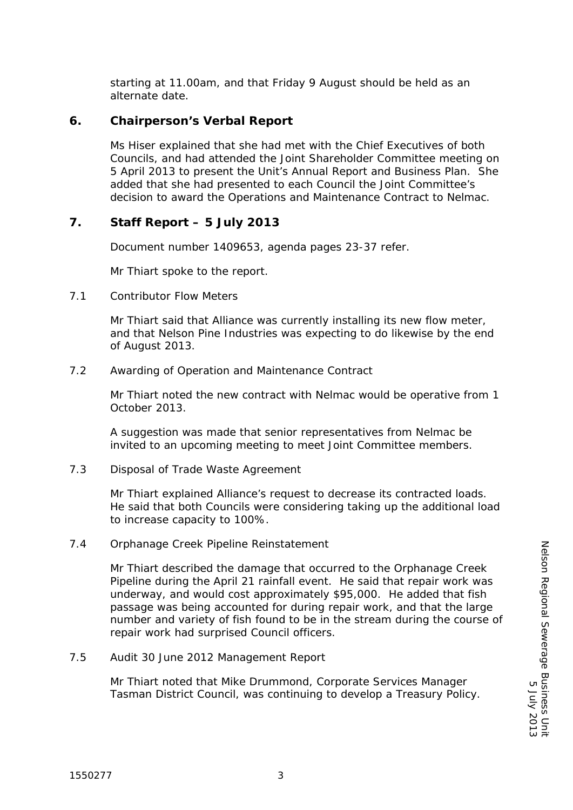starting at 11.00am, and that Friday 9 August should be held as an alternate date.

## **6. Chairperson's Verbal Report**

Ms Hiser explained that she had met with the Chief Executives of both Councils, and had attended the Joint Shareholder Committee meeting on 5 April 2013 to present the Unit's Annual Report and Business Plan. She added that she had presented to each Council the Joint Committee's decision to award the Operations and Maintenance Contract to Nelmac.

# **7. Staff Report – 5 July 2013**

Document number 1409653, agenda pages 23-37 refer.

Mr Thiart spoke to the report.

7.1 Contributor Flow Meters

Mr Thiart said that Alliance was currently installing its new flow meter, and that Nelson Pine Industries was expecting to do likewise by the end of August 2013.

7.2 Awarding of Operation and Maintenance Contract

Mr Thiart noted the new contract with Nelmac would be operative from 1 October 2013.

A suggestion was made that senior representatives from Nelmac be invited to an upcoming meeting to meet Joint Committee members.

7.3 Disposal of Trade Waste Agreement

Mr Thiart explained Alliance's request to decrease its contracted loads. He said that both Councils were considering taking up the additional load to increase capacity to 100%.

7.4 Orphanage Creek Pipeline Reinstatement

Mr Thiart described the damage that occurred to the Orphanage Creek Pipeline during the April 21 rainfall event. He said that repair work was underway, and would cost approximately \$95,000. He added that fish passage was being accounted for during repair work, and that the large number and variety of fish found to be in the stream during the course of repair work had surprised Council officers.

7.5 Audit 30 June 2012 Management Report

Mr Thiart noted that Mike Drummond, Corporate Services Manager Tasman District Council, was continuing to develop a Treasury Policy.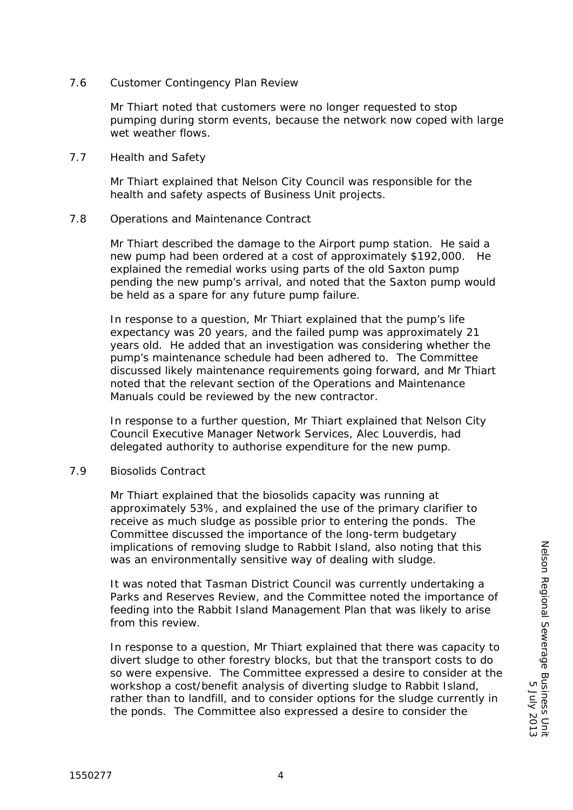### 7.6 Customer Contingency Plan Review

Mr Thiart noted that customers were no longer requested to stop pumping during storm events, because the network now coped with large wet weather flows.

7.7 Health and Safety

Mr Thiart explained that Nelson City Council was responsible for the health and safety aspects of Business Unit projects.

### 7.8 Operations and Maintenance Contract

Mr Thiart described the damage to the Airport pump station. He said a new pump had been ordered at a cost of approximately \$192,000. He explained the remedial works using parts of the old Saxton pump pending the new pump's arrival, and noted that the Saxton pump would be held as a spare for any future pump failure.

In response to a question, Mr Thiart explained that the pump's life expectancy was 20 years, and the failed pump was approximately 21 years old. He added that an investigation was considering whether the pump's maintenance schedule had been adhered to. The Committee discussed likely maintenance requirements going forward, and Mr Thiart noted that the relevant section of the Operations and Maintenance Manuals could be reviewed by the new contractor.

In response to a further question, Mr Thiart explained that Nelson City Council Executive Manager Network Services, Alec Louverdis, had delegated authority to authorise expenditure for the new pump.

### 7.9 Biosolids Contract

Mr Thiart explained that the biosolids capacity was running at approximately 53%, and explained the use of the primary clarifier to receive as much sludge as possible prior to entering the ponds. The Committee discussed the importance of the long-term budgetary implications of removing sludge to Rabbit Island, also noting that this was an environmentally sensitive way of dealing with sludge.

It was noted that Tasman District Council was currently undertaking a Parks and Reserves Review, and the Committee noted the importance of feeding into the Rabbit Island Management Plan that was likely to arise from this review.

In response to a question, Mr Thiart explained that there was capacity to divert sludge to other forestry blocks, but that the transport costs to do so were expensive. The Committee expressed a desire to consider at the workshop a cost/benefit analysis of diverting sludge to Rabbit Island, rather than to landfill, and to consider options for the sludge currently in the ponds. The Committee also expressed a desire to consider the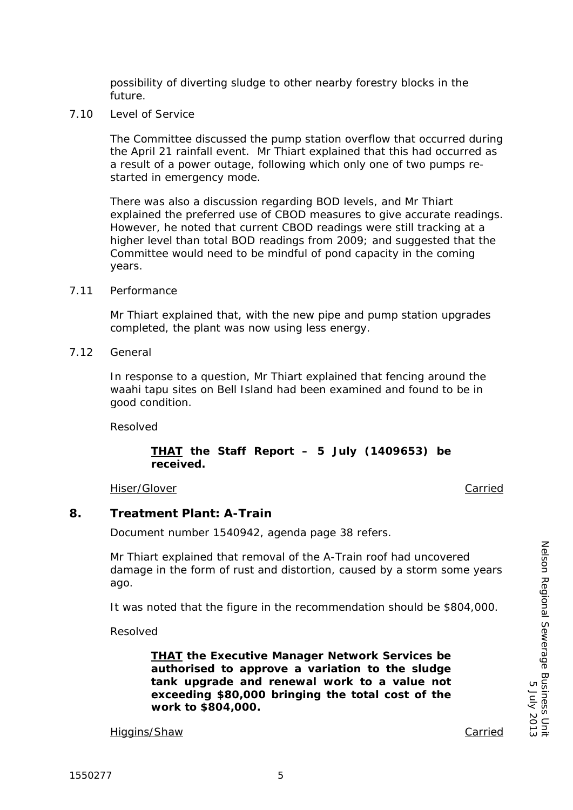The Committee discussed the pump station overflow that occurred during

the April 21 rainfall event. Mr Thiart explained that this had occurred as a result of a power outage, following which only one of two pumps restarted in emergency mode.

possibility of diverting sludge to other nearby forestry blocks in the

There was also a discussion regarding BOD levels, and Mr Thiart explained the preferred use of CBOD measures to give accurate readings. However, he noted that current CBOD readings were still tracking at a higher level than total BOD readings from 2009; and suggested that the Committee would need to be mindful of pond capacity in the coming years.

7.11 Performance

future. 7.10 Level of Service

> Mr Thiart explained that, with the new pipe and pump station upgrades completed, the plant was now using less energy.

7.12 General

In response to a question, Mr Thiart explained that fencing around the waahi tapu sites on Bell Island had been examined and found to be in good condition.

Resolved

### *THAT the Staff Report – 5 July (1409653) be received.*

Hiser/Glover **Carried Carried Carried Carried Carried Carried Carried Carried** 

### **8. Treatment Plant: A-Train**

Document number 1540942, agenda page 38 refers.

Mr Thiart explained that removal of the A-Train roof had uncovered damage in the form of rust and distortion, caused by a storm some years ago.

It was noted that the figure in the recommendation should be \$804,000.

Resolved

*THAT the Executive Manager Network Services be authorised to approve a variation to the sludge tank upgrade and renewal work to a value not exceeding \$80,000 bringing the total cost of the work to \$804,000.* 

Higgins/Shaw Carried

Nelson Regional Sewerage Business Unit

Nelson Regional Sewerage Business Unit<br>Nelson Regional Sewerage Business Uni

5 July 2013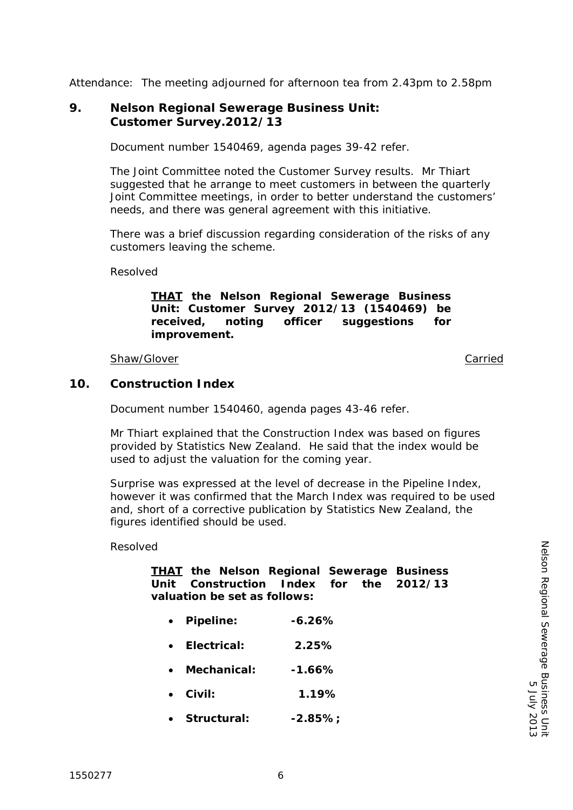Attendance: The meeting adjourned for afternoon tea from 2.43pm to 2.58pm

# **9. Nelson Regional Sewerage Business Unit: Customer Survey.2012/13**

Document number 1540469, agenda pages 39-42 refer.

The Joint Committee noted the Customer Survey results. Mr Thiart suggested that he arrange to meet customers in between the quarterly Joint Committee meetings, in order to better understand the customers' needs, and there was general agreement with this initiative.

There was a brief discussion regarding consideration of the risks of any customers leaving the scheme.

Resolved

*THAT the Nelson Regional Sewerage Business Unit: Customer Survey 2012/13 (1540469) be received, noting officer suggestions for improvement.* 

### Shaw/Glover **Carried** Carried Carried Carried Carried Carried Carried Carried Carried Carried Carried Carried Carried Carried Carried Carried Carried Carried Carried Carried Carried Carried Carried Carried Carried Carried

## **10. Construction Index**

Document number 1540460, agenda pages 43-46 refer.

Mr Thiart explained that the Construction Index was based on figures provided by Statistics New Zealand. He said that the index would be used to adjust the valuation for the coming year.

Surprise was expressed at the level of decrease in the Pipeline Index, however it was confirmed that the March Index was required to be used and, short of a corrective publication by Statistics New Zealand, the figures identified should be used.

### Resolved

|                              |  |  | <b>THAT</b> the Nelson Regional Sewerage Business |  |  |  |
|------------------------------|--|--|---------------------------------------------------|--|--|--|
|                              |  |  | Unit Construction Index for the 2012/13           |  |  |  |
| valuation be set as follows: |  |  |                                                   |  |  |  |

- *Pipeline: -6.26%*
- *Electrical: 2.25%*
- *Mechanical: -1.66%*
- *Civil: 1.19%*
- *Structural: -2.85%;*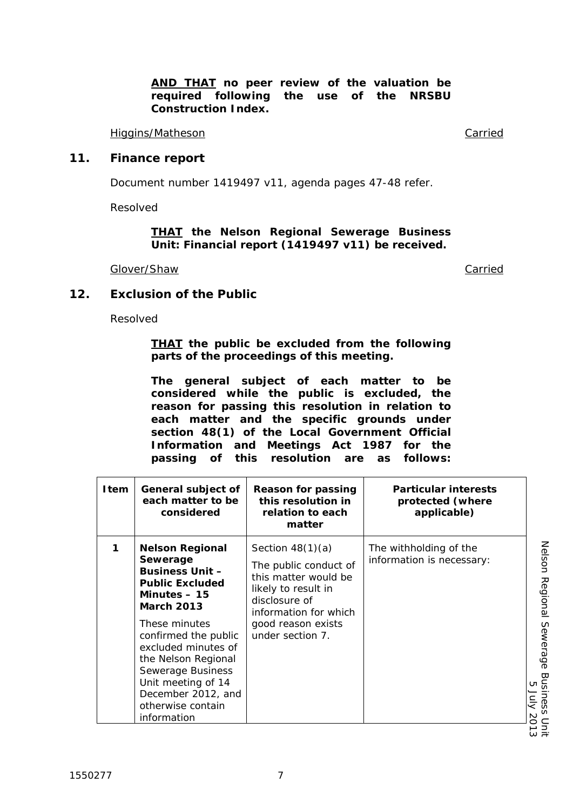Higgins/Matheson Carried

# **11. Finance report**

Document number 1419497 v11, agenda pages 47-48 refer.

Resolved

### *THAT the Nelson Regional Sewerage Business Unit: Financial report (1419497 v11) be received.*

Glover/Shaw Carried

Resolved

**12. Exclusion of the Public** 

*THAT the public be excluded from the following parts of the proceedings of this meeting.* 

*The general subject of each matter to be considered while the public is excluded, the reason for passing this resolution in relation to each matter and the specific grounds under section 48(1) of the Local Government Official Information and Meetings Act 1987 for the passing of this resolution are as follows:* 

| Item | General subject of<br>each matter to be<br>considered                                                                                                                                                                                                                                                                    | <b>Reason for passing</b><br>this resolution in<br>relation to each<br>matter                                                                                                  | <b>Particular interests</b><br>protected (where<br>applicable) |
|------|--------------------------------------------------------------------------------------------------------------------------------------------------------------------------------------------------------------------------------------------------------------------------------------------------------------------------|--------------------------------------------------------------------------------------------------------------------------------------------------------------------------------|----------------------------------------------------------------|
|      | <b>Nelson Regional</b><br>Sewerage<br><b>Business Unit -</b><br><b>Public Excluded</b><br>Minutes $-15$<br><b>March 2013</b><br>These minutes<br>confirmed the public<br>excluded minutes of<br>the Nelson Regional<br>Sewerage Business<br>Unit meeting of 14<br>December 2012, and<br>otherwise contain<br>information | Section $48(1)(a)$<br>The public conduct of<br>this matter would be<br>likely to result in<br>disclosure of<br>information for which<br>good reason exists<br>under section 7. | The withholding of the<br>information is necessary:            |

Nelson Regional Sewerage Business Unit<br>Melson Regional Sewerage Business Unit Nelson Regional Sewerage Business Unit 5 July 2013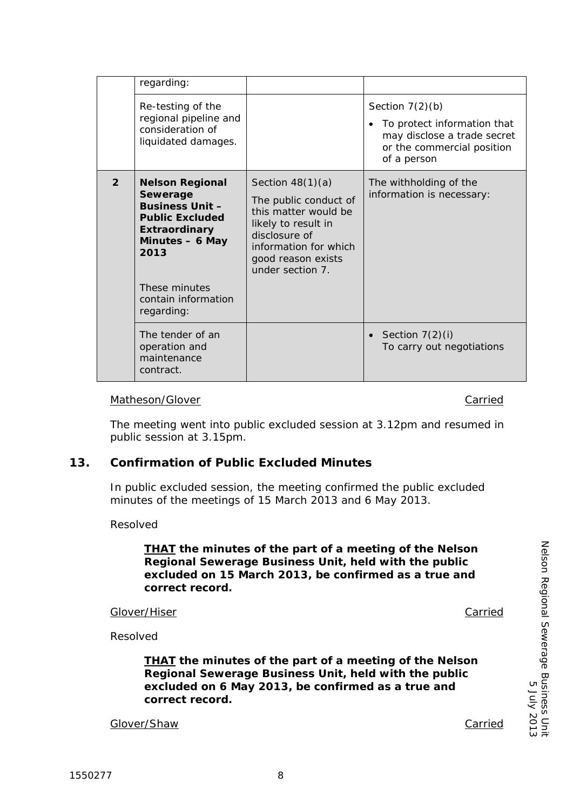| Section $7(2)(b)$<br>Re-testing of the<br>regional pipeline and<br>To protect information that<br>$\bullet$<br>consideration of<br>may disclose a trade secret<br>liquidated damages.<br>or the commercial position<br>of a person<br>$\overline{2}$<br>Section $48(1)(a)$<br><b>Nelson Regional</b><br>The withholding of the<br>Sewerage<br>information is necessary:<br>The public conduct of<br><b>Business Unit -</b><br>this matter would be<br><b>Public Excluded</b><br>likely to result in<br><b>Extraordinary</b><br>disclosure of<br>Minutes - 6 May<br>information for which<br>2013<br>good reason exists<br>under section 7.<br>These minutes<br>contain information<br>regarding:<br>The tender of an<br>Section $7(2)(i)$<br>$\bullet$<br>operation and<br>To carry out negotiations<br>maintenance<br>contract. | . 099. u. |  |
|----------------------------------------------------------------------------------------------------------------------------------------------------------------------------------------------------------------------------------------------------------------------------------------------------------------------------------------------------------------------------------------------------------------------------------------------------------------------------------------------------------------------------------------------------------------------------------------------------------------------------------------------------------------------------------------------------------------------------------------------------------------------------------------------------------------------------------|-----------|--|
|                                                                                                                                                                                                                                                                                                                                                                                                                                                                                                                                                                                                                                                                                                                                                                                                                                  |           |  |
|                                                                                                                                                                                                                                                                                                                                                                                                                                                                                                                                                                                                                                                                                                                                                                                                                                  |           |  |
|                                                                                                                                                                                                                                                                                                                                                                                                                                                                                                                                                                                                                                                                                                                                                                                                                                  |           |  |

## Matheson/Glover Carried Carried Carried Carried Carried Carried Carried Carried Carried Carried Carried Carried Carried Carried Carried Carried Carried Carried Carried Carried Carried Carried Carried Carried Carried Carrie

 $rac{1}{2}$ regarding:

The meeting went into public excluded session at 3.12pm and resumed in public session at 3.15pm.

# **13. Confirmation of Public Excluded Minutes**

In public excluded session, the meeting confirmed the public excluded minutes of the meetings of 15 March 2013 and 6 May 2013.

### Resolved

*THAT the minutes of the part of a meeting of the Nelson Regional Sewerage Business Unit, held with the public excluded on 15 March 2013, be confirmed as a true and correct record.* 

Glover/Hiser Carried

Nelson Regional Sewerage Business Unit

Nelson Regional Sewerage Business Uni

5 July 2013

5102 Ann 9

Resolved

*THAT the minutes of the part of a meeting of the Nelson Regional Sewerage Business Unit, held with the public excluded on 6 May 2013, be confirmed as a true and correct record.*